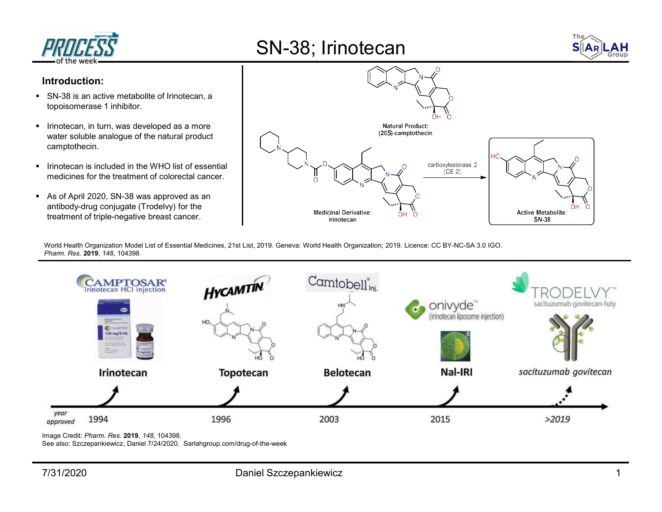

## SN-38; Irinotecan



## Introduction:

- SN-38 is an active metabolite of Irinotecan, a topoisomerase 1 inhibitor.
- **IFID** Irinotecan, in turn, was developed as a more camptothecin.
- $\blacksquare$  Irinotecan is included in the WHO list of essential medicines for the treatment of colorectal cancer.
- As of April 2020, SN-38 was approved as an antibody-drug conjugate (Trodelvy) for the treatment of triple-negative breast cancer.



World Health Organization Model List of Essential Medicines, 21st List, 2019. Geneva: World Health Organization; 2019. Licence: CC BY-NC-SA 3.0 IGO. Pharm. Res. 2019, 148, 104398



Image Credit: Pharm. Res. 2019, 148, 104398.

See also: Szczepankiewicz, Daniel 7/24/2020. Sarlahgroup.com/drug-of-the-week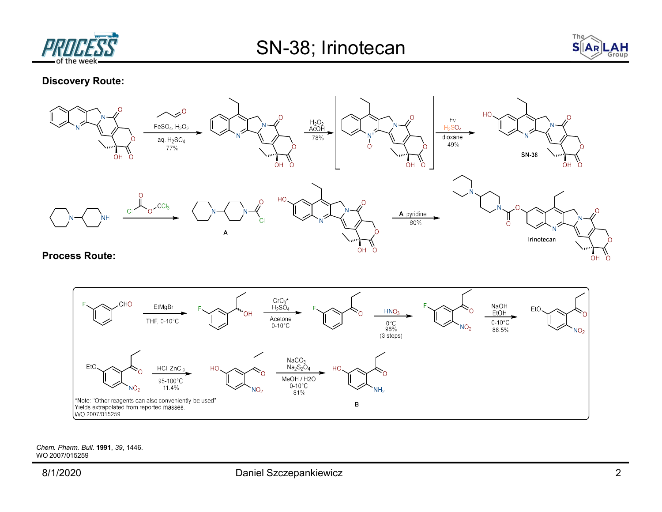



Discovery Route:



Process Route:



Chem. Pharm. Bull. 1991, 39, 1446. WO 2007/015259